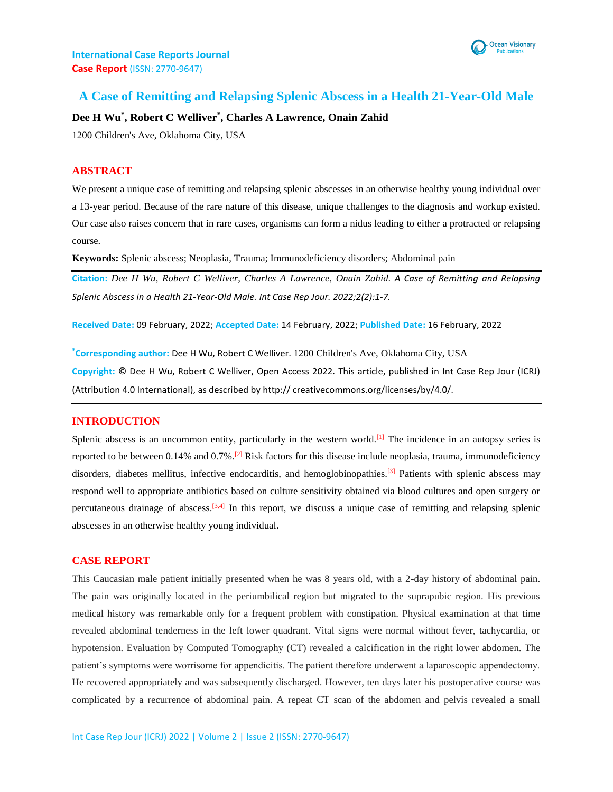

# **A Case of Remitting and Relapsing Splenic Abscess in a Health 21-Year-Old Male**

### **Dee H Wu\* , Robert C Welliver\* , Charles A Lawrence, Onain Zahid**

1200 Children's Ave, Oklahoma City, USA

## **ABSTRACT**

We present a unique case of remitting and relapsing splenic abscesses in an otherwise healthy young individual over a 13-year period. Because of the rare nature of this disease, unique challenges to the diagnosis and workup existed. Our case also raises concern that in rare cases, organisms can form a nidus leading to either a protracted or relapsing course.

**Keywords:** Splenic abscess; Neoplasia, Trauma; Immunodeficiency disorders; Abdominal pain

**Citation:** *Dee H Wu, Robert C Welliver, Charles A Lawrence, Onain Zahid. A Case of Remitting and Relapsing Splenic Abscess in a Health 21-Year-Old Male. Int Case Rep Jour. 2022;2(2):1-7.*

**Received Date:** 09 February, 2022; **Accepted Date:** 14 February, 2022; **Published Date:** 16 February, 2022

**\*Corresponding author:** Dee H Wu, Robert C Welliver. 1200 Children's Ave, Oklahoma City, USA **Copyright:** © Dee H Wu, Robert C Welliver, Open Access 2022. This article, published in Int Case Rep Jour (ICRJ) (Attribution 4.0 International), as described by http:// creativecommons.org/licenses/by/4.0/.

#### **INTRODUCTION**

Splenic abscess is an uncommon entity, particularly in the western world.<sup>[1]</sup> The incidence in an autopsy series is reported to be between 0.14% and  $0.7\%$ .<sup>[2]</sup> Risk factors for this disease include neoplasia, trauma, immunodeficiency disorders, diabetes mellitus, infective endocarditis, and hemoglobinopathies.<sup>[3]</sup> Patients with splenic abscess may respond well to appropriate antibiotics based on culture sensitivity obtained via blood cultures and open surgery or percutaneous drainage of abscess.<sup>[3,4]</sup> In this report, we discuss a unique case of remitting and relapsing splenic abscesses in an otherwise healthy young individual.

#### **CASE REPORT**

This Caucasian male patient initially presented when he was 8 years old, with a 2-day history of abdominal pain. The pain was originally located in the periumbilical region but migrated to the suprapubic region. His previous medical history was remarkable only for a frequent problem with constipation. Physical examination at that time revealed abdominal tenderness in the left lower quadrant. Vital signs were normal without fever, tachycardia, or hypotension. Evaluation by Computed Tomography (CT) revealed a calcification in the right lower abdomen. The patient's symptoms were worrisome for appendicitis. The patient therefore underwent a laparoscopic appendectomy. He recovered appropriately and was subsequently discharged. However, ten days later his postoperative course was complicated by a recurrence of abdominal pain. A repeat CT scan of the abdomen and pelvis revealed a small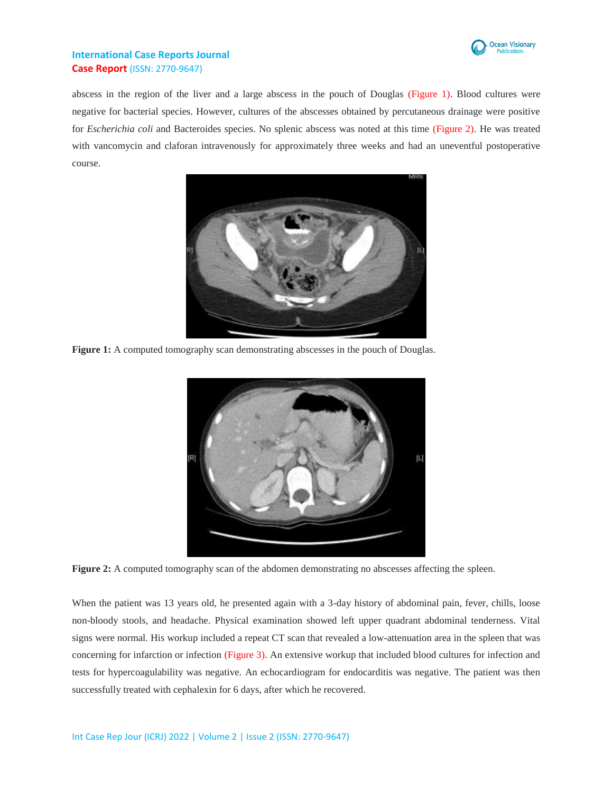

abscess in the region of the liver and a large abscess in the pouch of Douglas (Figure 1). Blood cultures were negative for bacterial species. However, cultures of the abscesses obtained by percutaneous drainage were positive for *Escherichia coli* and Bacteroides species. No splenic abscess was noted at this time (Figure 2). He was treated with vancomycin and claforan intravenously for approximately three weeks and had an uneventful postoperative course.



**Figure 1:** A computed tomography scan demonstrating abscesses in the pouch of Douglas.



**Figure 2:** A computed tomography scan of the abdomen demonstrating no abscesses affecting the spleen.

When the patient was 13 years old, he presented again with a 3-day history of abdominal pain, fever, chills, loose non-bloody stools, and headache. Physical examination showed left upper quadrant abdominal tenderness. Vital signs were normal. His workup included a repeat CT scan that revealed a low-attenuation area in the spleen that was concerning for infarction or infection (Figure 3). An extensive workup that included blood cultures for infection and tests for hypercoagulability was negative. An echocardiogram for endocarditis was negative. The patient was then successfully treated with cephalexin for 6 days, after which he recovered.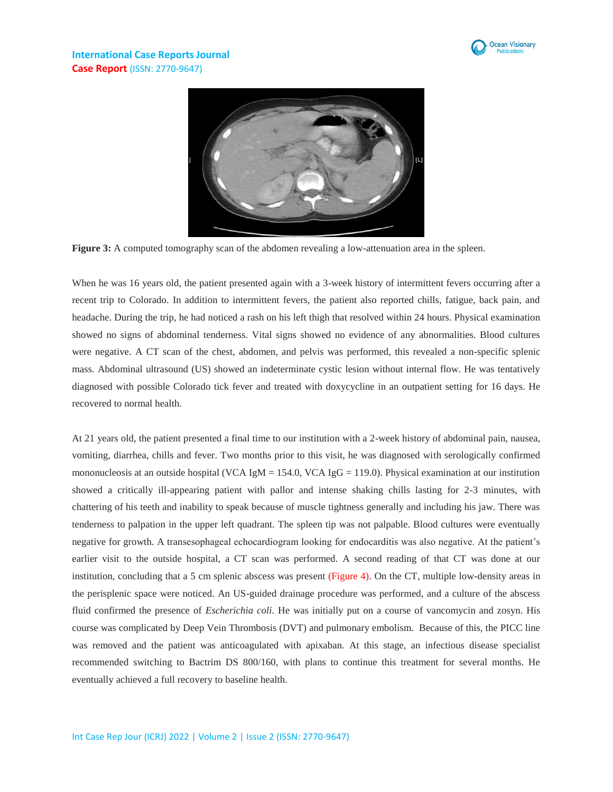



**Figure 3:** A computed tomography scan of the abdomen revealing a low-attenuation area in the spleen.

When he was 16 years old, the patient presented again with a 3-week history of intermittent fevers occurring after a recent trip to Colorado. In addition to intermittent fevers, the patient also reported chills, fatigue, back pain, and headache. During the trip, he had noticed a rash on his left thigh that resolved within 24 hours. Physical examination showed no signs of abdominal tenderness. Vital signs showed no evidence of any abnormalities. Blood cultures were negative. A CT scan of the chest, abdomen, and pelvis was performed, this revealed a non-specific splenic mass. Abdominal ultrasound (US) showed an indeterminate cystic lesion without internal flow. He was tentatively diagnosed with possible Colorado tick fever and treated with doxycycline in an outpatient setting for 16 days. He recovered to normal health.

At 21 years old, the patient presented a final time to our institution with a 2-week history of abdominal pain, nausea, vomiting, diarrhea, chills and fever. Two months prior to this visit, he was diagnosed with serologically confirmed mononucleosis at an outside hospital (VCA  $\text{IgM} = 154.0$ , VCA  $\text{IgG} = 119.0$ ). Physical examination at our institution showed a critically ill-appearing patient with pallor and intense shaking chills lasting for 2-3 minutes, with chattering of his teeth and inability to speak because of muscle tightness generally and including his jaw. There was tenderness to palpation in the upper left quadrant. The spleen tip was not palpable. Blood cultures were eventually negative for growth. A transesophageal echocardiogram looking for endocarditis was also negative. At the patient's earlier visit to the outside hospital, a CT scan was performed. A second reading of that CT was done at our institution, concluding that a 5 cm splenic abscess was present (Figure 4). On the CT, multiple low-density areas in the perisplenic space were noticed. An US-guided drainage procedure was performed, and a culture of the abscess fluid confirmed the presence of *Escherichia coli*. He was initially put on a course of vancomycin and zosyn. His course was complicated by Deep Vein Thrombosis (DVT) and pulmonary embolism. Because of this, the PICC line was removed and the patient was anticoagulated with apixaban. At this stage, an infectious disease specialist recommended switching to Bactrim DS 800/160, with plans to continue this treatment for several months. He eventually achieved a full recovery to baseline health.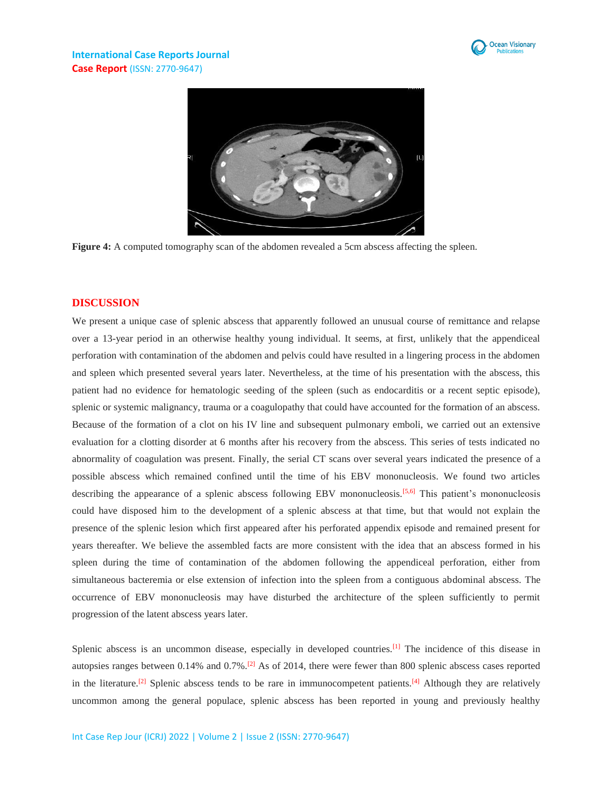



**Figure 4:** A computed tomography scan of the abdomen revealed a 5cm abscess affecting the spleen.

#### **DISCUSSION**

We present a unique case of splenic abscess that apparently followed an unusual course of remittance and relapse over a 13-year period in an otherwise healthy young individual. It seems, at first, unlikely that the appendiceal perforation with contamination of the abdomen and pelvis could have resulted in a lingering process in the abdomen and spleen which presented several years later. Nevertheless, at the time of his presentation with the abscess, this patient had no evidence for hematologic seeding of the spleen (such as endocarditis or a recent septic episode), splenic or systemic malignancy, trauma or a coagulopathy that could have accounted for the formation of an abscess. Because of the formation of a clot on his IV line and subsequent pulmonary emboli, we carried out an extensive evaluation for a clotting disorder at 6 months after his recovery from the abscess. This series of tests indicated no abnormality of coagulation was present. Finally, the serial CT scans over several years indicated the presence of a possible abscess which remained confined until the time of his EBV mononucleosis. We found two articles describing the appearance of a splenic abscess following EBV mononucleosis.<sup>[5,6]</sup> This patient's mononucleosis could have disposed him to the development of a splenic abscess at that time, but that would not explain the presence of the splenic lesion which first appeared after his perforated appendix episode and remained present for years thereafter. We believe the assembled facts are more consistent with the idea that an abscess formed in his spleen during the time of contamination of the abdomen following the appendiceal perforation, either from simultaneous bacteremia or else extension of infection into the spleen from a contiguous abdominal abscess. The occurrence of EBV mononucleosis may have disturbed the architecture of the spleen sufficiently to permit progression of the latent abscess years later.

Splenic abscess is an uncommon disease, especially in developed countries.<sup>[1]</sup> The incidence of this disease in autopsies ranges between  $0.14\%$  and  $0.7\%$ .<sup>[2]</sup> As of 2014, there were fewer than 800 splenic abscess cases reported in the literature.<sup>[2]</sup> Splenic abscess tends to be rare in immunocompetent patients.<sup>[4]</sup> Although they are relatively uncommon among the general populace, splenic abscess has been reported in young and previously healthy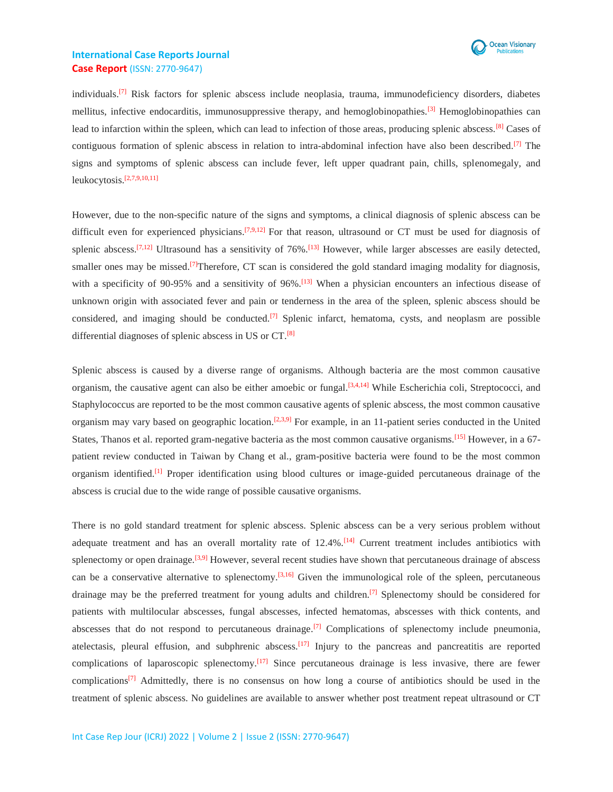

individuals.<sup>[7]</sup> Risk factors for splenic abscess include neoplasia, trauma, immunodeficiency disorders, diabetes mellitus, infective endocarditis, immunosuppressive therapy, and hemoglobinopathies.<sup>[3]</sup> Hemoglobinopathies can lead to infarction within the spleen, which can lead to infection of those areas, producing splenic abscess.<sup>[8]</sup> Cases of contiguous formation of splenic abscess in relation to intra-abdominal infection have also been described.<sup>[7]</sup> The signs and symptoms of splenic abscess can include fever, left upper quadrant pain, chills, splenomegaly, and leukocytosis. [2,7,9,10,11]

However, due to the non-specific nature of the signs and symptoms, a clinical diagnosis of splenic abscess can be difficult even for experienced physicians.<sup>[7,9,12]</sup> For that reason, ultrasound or CT must be used for diagnosis of splenic abscess.<sup>[7,12]</sup> Ultrasound has a sensitivity of 76%.<sup>[13]</sup> However, while larger abscesses are easily detected, smaller ones may be missed.<sup>[7]</sup>Therefore, CT scan is considered the gold standard imaging modality for diagnosis, with a specificity of 90-95% and a sensitivity of 96%.<sup>[13]</sup> When a physician encounters an infectious disease of unknown origin with associated fever and pain or tenderness in the area of the spleen, splenic abscess should be considered, and imaging should be conducted.<sup>[7]</sup> Splenic infarct, hematoma, cysts, and neoplasm are possible differential diagnoses of splenic abscess in US or CT.[8]

Splenic abscess is caused by a diverse range of organisms. Although bacteria are the most common causative organism, the causative agent can also be either amoebic or fungal.<sup>[3,4,14]</sup> While Escherichia coli, Streptococci, and Staphylococcus are reported to be the most common causative agents of splenic abscess, the most common causative organism may vary based on geographic location.<sup>[2,3,9]</sup> For example, in an 11-patient series conducted in the United States, Thanos et al. reported gram-negative bacteria as the most common causative organisms.[15] However, in a 67 patient review conducted in Taiwan by Chang et al., gram-positive bacteria were found to be the most common organism identified.[1] Proper identification using blood cultures or image-guided percutaneous drainage of the abscess is crucial due to the wide range of possible causative organisms.

There is no gold standard treatment for splenic abscess. Splenic abscess can be a very serious problem without adequate treatment and has an overall mortality rate of 12.4%.[14] Current treatment includes antibiotics with splenectomy or open drainage.<sup>[3,9]</sup> However, several recent studies have shown that percutaneous drainage of abscess can be a conservative alternative to splenectomy.<sup>[3,16]</sup> Given the immunological role of the spleen, percutaneous drainage may be the preferred treatment for young adults and children.<sup>[7]</sup> Splenectomy should be considered for patients with multilocular abscesses, fungal abscesses, infected hematomas, abscesses with thick contents, and abscesses that do not respond to percutaneous drainage.<sup>[7]</sup> Complications of splenectomy include pneumonia, atelectasis, pleural effusion, and subphrenic abscess.<sup>[17]</sup> Injury to the pancreas and pancreatitis are reported complications of laparoscopic splenectomy.[17] Since percutaneous drainage is less invasive, there are fewer complications<sup>[7]</sup> Admittedly, there is no consensus on how long a course of antibiotics should be used in the treatment of splenic abscess. No guidelines are available to answer whether post treatment repeat ultrasound or CT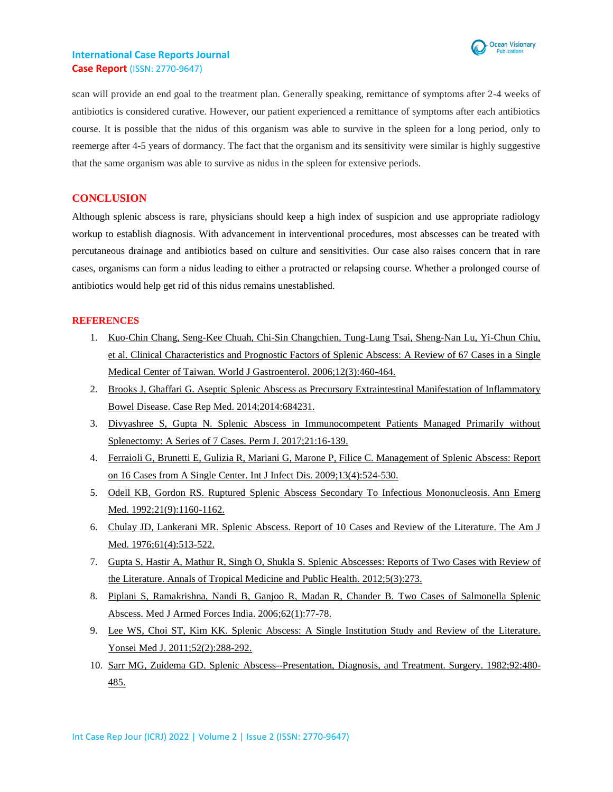

scan will provide an end goal to the treatment plan. Generally speaking, remittance of symptoms after 2-4 weeks of antibiotics is considered curative. However, our patient experienced a remittance of symptoms after each antibiotics course. It is possible that the nidus of this organism was able to survive in the spleen for a long period, only to reemerge after 4-5 years of dormancy. The fact that the organism and its sensitivity were similar is highly suggestive that the same organism was able to survive as nidus in the spleen for extensive periods.

## **CONCLUSION**

Although splenic abscess is rare, physicians should keep a high index of suspicion and use appropriate radiology workup to establish diagnosis. With advancement in interventional procedures, most abscesses can be treated with percutaneous drainage and antibiotics based on culture and sensitivities. Our case also raises concern that in rare cases, organisms can form a nidus leading to either a protracted or relapsing course. Whether a prolonged course of antibiotics would help get rid of this nidus remains unestablished.

#### **REFERENCES**

- 1. [Kuo-Chin Chang, Seng-Kee Chuah, Chi-Sin Changchien, Tung-Lung Tsai, Sheng-Nan Lu, Yi-Chun Chiu,](https://pubmed.ncbi.nlm.nih.gov/16489650/) et al. Clinical Characteristics [and Prognostic Factors of Splenic Abscess: A Review](https://pubmed.ncbi.nlm.nih.gov/16489650/) of 67 Cases in a Single Medical Center [of Taiwan. World J Gastroenterol. 2006;12\(3\):460-464.](https://pubmed.ncbi.nlm.nih.gov/16489650/)
- 2. [Brooks J, Ghaffari G. Aseptic Splenic Abscess as Precursory Extraintestinal Manifestation of Inflammatory](https://pubmed.ncbi.nlm.nih.gov/25276144/)  [Bowel Disease. Case Rep Med. 2014;2014:684231.](https://pubmed.ncbi.nlm.nih.gov/25276144/)
- 3. [Divyashree S, Gupta N. Splenic Abscess in Immunocompetent Patients Managed Primarily without](https://www.ncbi.nlm.nih.gov/pmc/articles/PMC5528801/)  [Splenectomy: A Series of 7 Cases. Perm J. 2017;21:16-139.](https://www.ncbi.nlm.nih.gov/pmc/articles/PMC5528801/)
- 4. [Ferraioli G, Brunetti E, Gulizia R, Mariani G, Marone P, Filice C. Management of Splenic Abscess: Report](https://pubmed.ncbi.nlm.nih.gov/19070526/)  [on 16 Cases from A Single Center. Int J Infect Dis. 2009;13\(4\):524-530.](https://pubmed.ncbi.nlm.nih.gov/19070526/)
- 5. [Odell KB, Gordon RS. Ruptured Splenic Abscess Secondary To Infectious Mononucleosis.](https://pubmed.ncbi.nlm.nih.gov/1514735/) Ann Emerg [Med. 1992;21\(9\):1160-1162.](https://pubmed.ncbi.nlm.nih.gov/1514735/)
- 6. [Chulay JD, Lankerani MR. Splenic Abscess. Report of 10 Cases and Review](https://pubmed.ncbi.nlm.nih.gov/973645/) of the Literature. The Am J [Med. 1976;61\(4\):513-522.](https://pubmed.ncbi.nlm.nih.gov/973645/)
- 7. [Gupta S, Hastir A, Mathur R, Singh O, Shukla S. Splenic Abscesses: Reports of Two Cases with Review](https://cyberleninka.org/article/n/306025) of [the Literature. Annals of Tropical Medicine and Public Health. 2012;5\(3\):273.](https://cyberleninka.org/article/n/306025)
- 8. [Piplani S, Ramakrishna, Nandi B, Ganjoo R, Madan R, Chander B. Two Cases of Salmonella Splenic](https://www.ncbi.nlm.nih.gov/pmc/articles/PMC4923292/)  [Abscess. Med J Armed Forces India. 2006;62\(1\):77-78.](https://www.ncbi.nlm.nih.gov/pmc/articles/PMC4923292/)
- 9. [Lee WS, Choi ST, Kim KK. Splenic Abscess: A Single Institution Study and Review](https://www.ncbi.nlm.nih.gov/pmc/articles/PMC3051211/) of the Literature. [Yonsei Med J. 2011;52\(2\):288-292.](https://www.ncbi.nlm.nih.gov/pmc/articles/PMC3051211/)
- 10. [Sarr MG, Zuidema GD. Splenic Abscess--Presentation, Diagnosis, and Treatment. Surgery. 1982;92:480-](https://pubmed.ncbi.nlm.nih.gov/7112399/) [485.](https://pubmed.ncbi.nlm.nih.gov/7112399/)